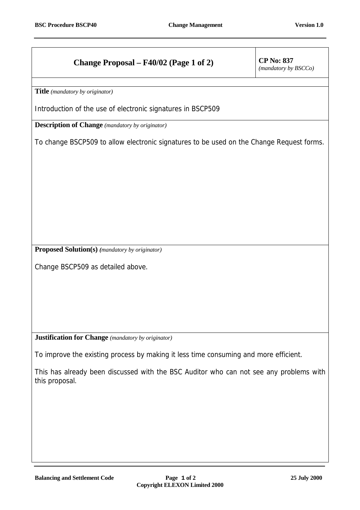## **Change Proposal – F40/02 (Page 1 of 2)** CP No: 837

*(mandatory by BSCCo)*

**Title** *(mandatory by originator)* 

Introduction of the use of electronic signatures in BSCP509

**Description of Change** *(mandatory by originator)*

To change BSCP509 to allow electronic signatures to be used on the Change Request forms.

**Proposed Solution(s)** *(mandatory by originator)*

Change BSCP509 as detailed above.

**Justification for Change** *(mandatory by originator)*

To improve the existing process by making it less time consuming and more efficient.

This has already been discussed with the BSC Auditor who can not see any problems with this proposal.